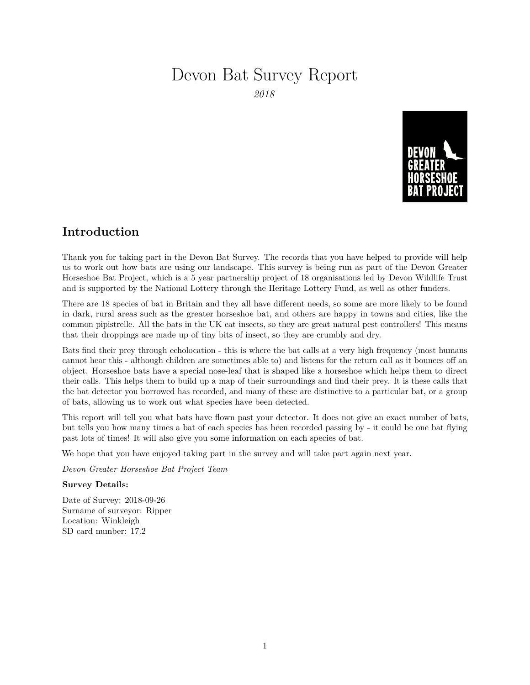# Devon Bat Survey Report

*2018*



### **Introduction**

Thank you for taking part in the Devon Bat Survey. The records that you have helped to provide will help us to work out how bats are using our landscape. This survey is being run as part of the Devon Greater Horseshoe Bat Project, which is a 5 year partnership project of 18 organisations led by Devon Wildlife Trust and is supported by the National Lottery through the Heritage Lottery Fund, as well as other funders.

There are 18 species of bat in Britain and they all have different needs, so some are more likely to be found in dark, rural areas such as the greater horseshoe bat, and others are happy in towns and cities, like the common pipistrelle. All the bats in the UK eat insects, so they are great natural pest controllers! This means that their droppings are made up of tiny bits of insect, so they are crumbly and dry.

Bats find their prey through echolocation - this is where the bat calls at a very high frequency (most humans cannot hear this - although children are sometimes able to) and listens for the return call as it bounces off an object. Horseshoe bats have a special nose-leaf that is shaped like a horseshoe which helps them to direct their calls. This helps them to build up a map of their surroundings and find their prey. It is these calls that the bat detector you borrowed has recorded, and many of these are distinctive to a particular bat, or a group of bats, allowing us to work out what species have been detected.

This report will tell you what bats have flown past your detector. It does not give an exact number of bats, but tells you how many times a bat of each species has been recorded passing by - it could be one bat flying past lots of times! It will also give you some information on each species of bat.

We hope that you have enjoyed taking part in the survey and will take part again next year.

*Devon Greater Horseshoe Bat Project Team*

#### **Survey Details:**

Date of Survey: 2018-09-26 Surname of surveyor: Ripper Location: Winkleigh SD card number: 17.2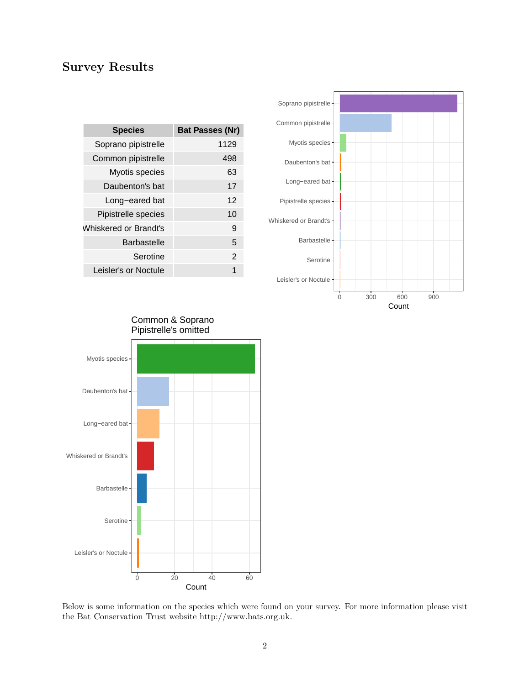## **Survey Results**

| <b>Species</b>        | <b>Bat Passes (Nr)</b> |
|-----------------------|------------------------|
| Soprano pipistrelle   | 1129                   |
| Common pipistrelle    | 498                    |
| Myotis species        | 63                     |
| Daubenton's bat       | 17                     |
| Long-eared bat        | 12                     |
| Pipistrelle species   | 10                     |
| Whiskered or Brandt's | 9                      |
| <b>Barbastelle</b>    | 5                      |
| Serotine              | $\mathbf{2}$           |
| Leisler's or Noctule  | 1                      |





Below is some information on the species which were found on your survey. For more information please visit the Bat Conservation Trust website [http://www.bats.org.uk.](http://www.bats.org.uk)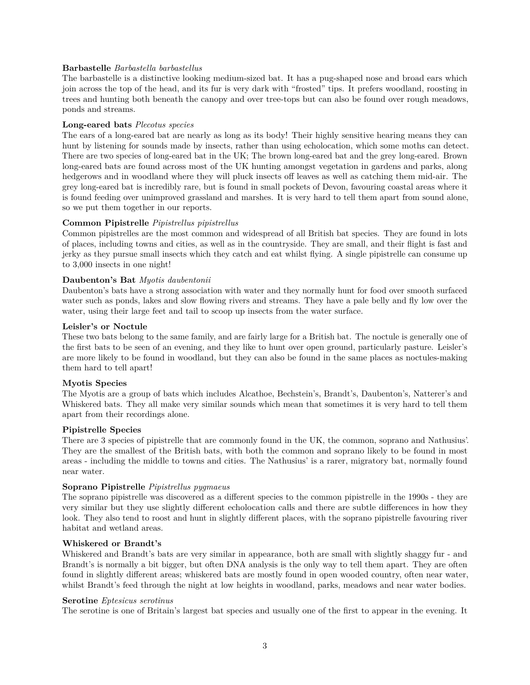#### **Barbastelle** *Barbastella barbastellus*

The barbastelle is a distinctive looking medium-sized bat. It has a pug-shaped nose and broad ears which join across the top of the head, and its fur is very dark with "frosted" tips. It prefers woodland, roosting in trees and hunting both beneath the canopy and over tree-tops but can also be found over rough meadows, ponds and streams.

#### **Long-eared bats** *Plecotus species*

The ears of a long-eared bat are nearly as long as its body! Their highly sensitive hearing means they can hunt by listening for sounds made by insects, rather than using echolocation, which some moths can detect. There are two species of long-eared bat in the UK; The brown long-eared bat and the grey long-eared. Brown long-eared bats are found across most of the UK hunting amongst vegetation in gardens and parks, along hedgerows and in woodland where they will pluck insects off leaves as well as catching them mid-air. The grey long-eared bat is incredibly rare, but is found in small pockets of Devon, favouring coastal areas where it is found feeding over unimproved grassland and marshes. It is very hard to tell them apart from sound alone, so we put them together in our reports.

#### **Common Pipistrelle** *Pipistrellus pipistrellus*

Common pipistrelles are the most common and widespread of all British bat species. They are found in lots of places, including towns and cities, as well as in the countryside. They are small, and their flight is fast and jerky as they pursue small insects which they catch and eat whilst flying. A single pipistrelle can consume up to 3,000 insects in one night!

#### **Daubenton's Bat** *Myotis daubentonii*

Daubenton's bats have a strong association with water and they normally hunt for food over smooth surfaced water such as ponds, lakes and slow flowing rivers and streams. They have a pale belly and fly low over the water, using their large feet and tail to scoop up insects from the water surface.

#### **Leisler's or Noctule**

These two bats belong to the same family, and are fairly large for a British bat. The noctule is generally one of the first bats to be seen of an evening, and they like to hunt over open ground, particularly pasture. Leisler's are more likely to be found in woodland, but they can also be found in the same places as noctules-making them hard to tell apart!

#### **Myotis Species**

The Myotis are a group of bats which includes Alcathoe, Bechstein's, Brandt's, Daubenton's, Natterer's and Whiskered bats. They all make very similar sounds which mean that sometimes it is very hard to tell them apart from their recordings alone.

#### **Pipistrelle Species**

There are 3 species of pipistrelle that are commonly found in the UK, the common, soprano and Nathusius'. They are the smallest of the British bats, with both the common and soprano likely to be found in most areas - including the middle to towns and cities. The Nathusius' is a rarer, migratory bat, normally found near water.

#### **Soprano Pipistrelle** *Pipistrellus pygmaeus*

The soprano pipistrelle was discovered as a different species to the common pipistrelle in the 1990s - they are very similar but they use slightly different echolocation calls and there are subtle differences in how they look. They also tend to roost and hunt in slightly different places, with the soprano pipistrelle favouring river habitat and wetland areas.

#### **Whiskered or Brandt's**

Whiskered and Brandt's bats are very similar in appearance, both are small with slightly shaggy fur - and Brandt's is normally a bit bigger, but often DNA analysis is the only way to tell them apart. They are often found in slightly different areas; whiskered bats are mostly found in open wooded country, often near water, whilst Brandt's feed through the night at low heights in woodland, parks, meadows and near water bodies.

#### **Serotine** *Eptesicus serotinus*

The serotine is one of Britain's largest bat species and usually one of the first to appear in the evening. It